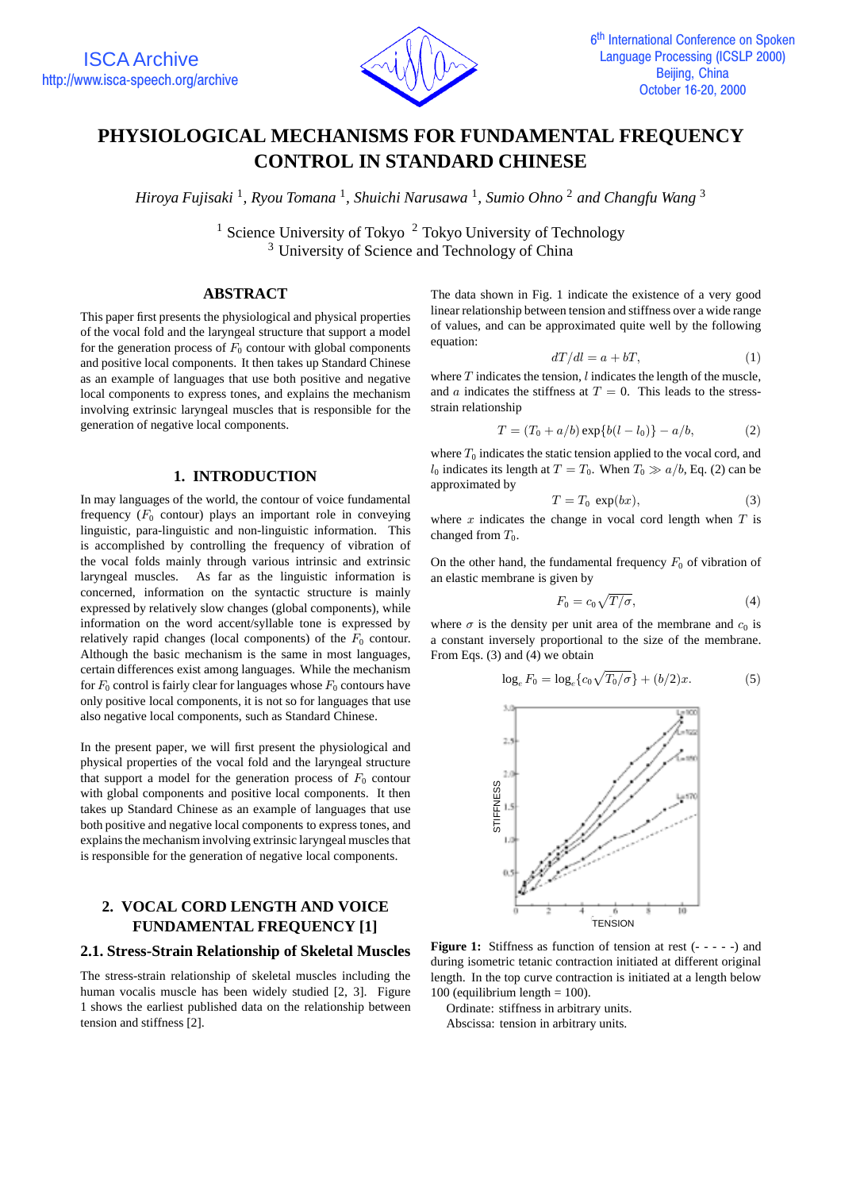

# **PHYSIOLOGICAL MECHANISMS FOR FUNDAMENTAL FREQUENCY CONTROL IN STANDARD CHINESE**

*Hiroya Fujisaki* <sup>1</sup>*, Ryou Tomana* <sup>1</sup>*, Shuichi Narusawa* <sup>1</sup>*, Sumio Ohno* <sup>2</sup> *and Changfu Wang* <sup>3</sup>

<sup>1</sup> Science University of Tokyo  $\frac{2}$  Tokyo University of Technology <sup>3</sup> University of Science and Technology of China

## **ABSTRACT**

This paper first presents the physiological and physical properties of the vocal fold and the laryngeal structure that support a model for the generation process of  $F_0$  contour with global components and positive local components. It then takes up Standard Chinese as an example of languages that use both positive and negative local components to express tones, and explains the mechanism involving extrinsic laryngeal muscles that is responsible for the generation of negative local components.

## **1. INTRODUCTION**

In may languages of the world, the contour of voice fundamental frequency  $(F_0 \text{ contour})$  plays an important role in conveying linguistic, para-linguistic and non-linguistic information. This is accomplished by controlling the frequency of vibration of the vocal folds mainly through various intrinsic and extrinsic laryngeal muscles. As far as the linguistic information is concerned, information on the syntactic structure is mainly expressed by relatively slow changes (global components), while information on the word accent/syllable tone is expressed by relatively rapid changes (local components) of the  $F_0$  contour. Although the basic mechanism is the same in most languages, certain differences exist among languages. While the mechanism for  $F_0$  control is fairly clear for languages whose  $F_0$  contours have only positive local components, it is not so for languages that use also negative local components, such as Standard Chinese.

In the present paper, we will first present the physiological and physical properties of the vocal fold and the laryngeal structure that support a model for the generation process of  $F_0$  contour with global components and positive local components. It then takes up Standard Chinese as an example of languages that use both positive and negative local components to express tones, and explains the mechanism involving extrinsic laryngeal muscles that is responsible for the generation of negative local components.

# **2. VOCAL CORD LENGTH AND VOICE FUNDAMENTAL FREQUENCY [1]**

## **2.1. Stress-Strain Relationship of Skeletal Muscles**

The stress-strain relationship of skeletal muscles including the human vocalis muscle has been widely studied [2, 3]. Figure 1 shows the earliest published data on the relationship between tension and stiffness [2].

The data shown in Fig. 1 indicate the existence of a very good linear relationship between tension and stiffness over a wide range of values, and can be approximated quite well by the following equation:

$$
dT/dl = a + bT,
$$
\n(1)

where  $T$  indicates the tension,  $l$  indicates the length of the muscle, and a indicates the stiffness at  $T = 0$ . This leads to the stressstrain relationship

$$
T = (T_0 + a/b) \exp\{b(l - l_0)\} - a/b,
$$
 (2)

where  $T_0$  indicates the static tension applied to the vocal cord, and  $l_0$  indicates its length at  $T = T_0$ . When  $T_0 \gg a/b$ , Eq. (2) can be approximated by

$$
T = T_0 \, \exp(bx), \tag{3}
$$

where  $x$  indicates the change in vocal cord length when  $T$  is changed from  $T_0$ .

On the other hand, the fundamental frequency  $F_0$  of vibration of an elastic membrane is given by

$$
F_0 = c_0 \sqrt{T/\sigma},\tag{4}
$$

where  $\sigma$  is the density per unit area of the membrane and  $c_0$  is a constant inversely proportional to the size of the membrane. From Eqs. (3) and (4) we obtain

$$
\log_e F_0 = \log_e \{ c_0 \sqrt{T_0/\sigma} \} + (b/2)x. \tag{5}
$$



**Figure 1:** Stiffness as function of tension at rest (- - - - -) and during isometric tetanic contraction initiated at different original length. In the top curve contraction is initiated at a length below 100 (equilibrium length  $= 100$ ).

Ordinate: stiffness in arbitrary units.

Abscissa: tension in arbitrary units.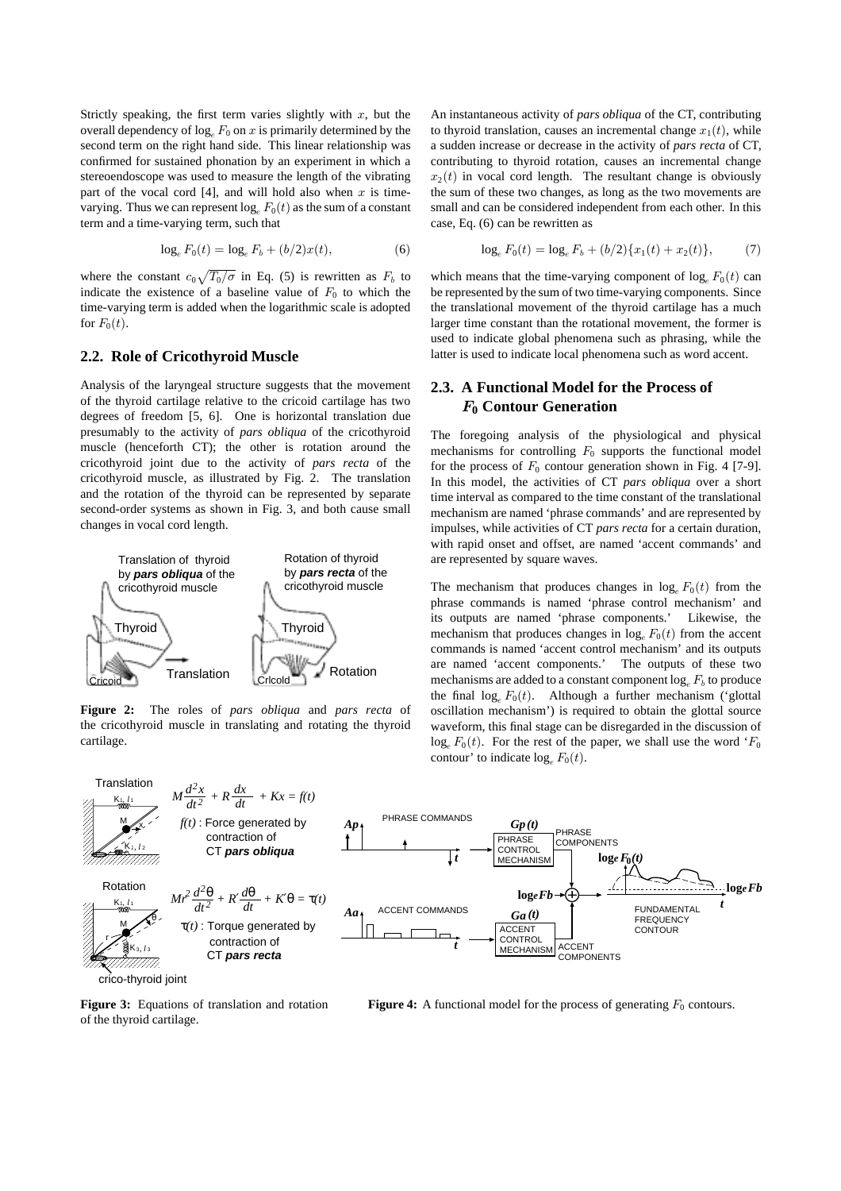Strictly speaking, the first term varies slightly with  $x$ , but the overall dependency of  $\log_e F_0$  on x is primarily determined by the second term on the right hand side. This linear relationship was confirmed for sustained phonation by an experiment in which a stereoendoscope was used to measure the length of the vibrating part of the vocal cord  $[4]$ , and will hold also when x is timevarying. Thus we can represent  $\log_e F_0(t)$  as the sum of a constant term and a time-varying term, such that

$$
\log_e F_0(t) = \log_e F_b + (b/2)x(t),\tag{6}
$$

where the constant  $c_0\sqrt{T_0/\sigma}$  in Eq. (5) is rewritten as  $F_b$  to indicate the existence of a baseline value of  $F_0$  to which the time-varying term is added when the logarithmic scale is adopted for  $F_0(t)$ .

#### **2.2. Role of Cricothyroid Muscle**

Analysis of the laryngeal structure suggests that the movement of the thyroid cartilage relative to the cricoid cartilage has two degrees of freedom [5, 6]. One is horizontal translation due presumably to the activity of *pars obliqua* of the cricothyroid muscle (henceforth CT); the other is rotation around the cricothyroid joint due to the activity of *pars recta* of the cricothyroid muscle, as illustrated by Fig. 2. The translation and the rotation of the thyroid can be represented by separate second-order systems as shown in Fig. 3, and both cause small changes in vocal cord length.



**Figure 2:** The roles of *pars obliqua* and *pars recta* of the cricothyroid muscle in translating and rotating the thyroid cartilage.

An instantaneous activity of *pars obliqua* of the CT, contributing to thyroid translation, causes an incremental change  $x_1(t)$ , while a sudden increase or decrease in the activity of *pars recta* of CT, contributing to thyroid rotation, causes an incremental change  $x_2(t)$  in vocal cord length. The resultant change is obviously the sum of these two changes, as long as the two movements are small and can be considered independent from each other. In this case, Eq. (6) can be rewritten as

$$
\log_e F_0(t) = \log_e F_b + (b/2) \{x_1(t) + x_2(t)\},\tag{7}
$$

which means that the time-varying component of  $\log_e F_0(t)$  can be represented by the sum of two time-varying components. Since the translational movement of the thyroid cartilage has a much larger time constant than the rotational movement, the former is used to indicate global phenomena such as phrasing, while the latter is used to indicate local phenomena such as word accent.

# **2.3. A Functional Model for the Process of** F**<sup>0</sup> Contour Generation**

The foregoing analysis of the physiological and physical mechanisms for controlling  $F_0$  supports the functional model for the process of  $F_0$  contour generation shown in Fig. 4 [7-9]. In this model, the activities of CT *pars obliqua* over a short time interval as compared to the time constant of the translational mechanism are named 'phrase commands' and are represented by impulses, while activities of CT *pars recta* for a certain duration, with rapid onset and offset, are named 'accent commands' and are represented by square waves.

The mechanism that produces changes in  $\log_e F_0(t)$  from the phrase commands is named 'phrase control mechanism' and its outputs are named 'phrase components.' Likewise, the mechanism that produces changes in  $\log_e F_0(t)$  from the accent commands is named 'accent control mechanism' and its outputs are named 'accent components.' The outputs of these two mechanisms are added to a constant component  $\log_e F_b$  to produce the final  $\log_e F_0(t)$ . Although a further mechanism ('glottal oscillation mechanism') is required to obtain the glottal source waveform, this final stage can be disregarded in the discussion of  $\log_e F_0(t)$ . For the rest of the paper, we shall use the word ' $F_0$ contour' to indicate  $log_e F_0(t)$ .



**Figure 3:** Equations of translation and rotation of the thyroid cartilage.

**Figure 4:** A functional model for the process of generating  $F_0$  contours.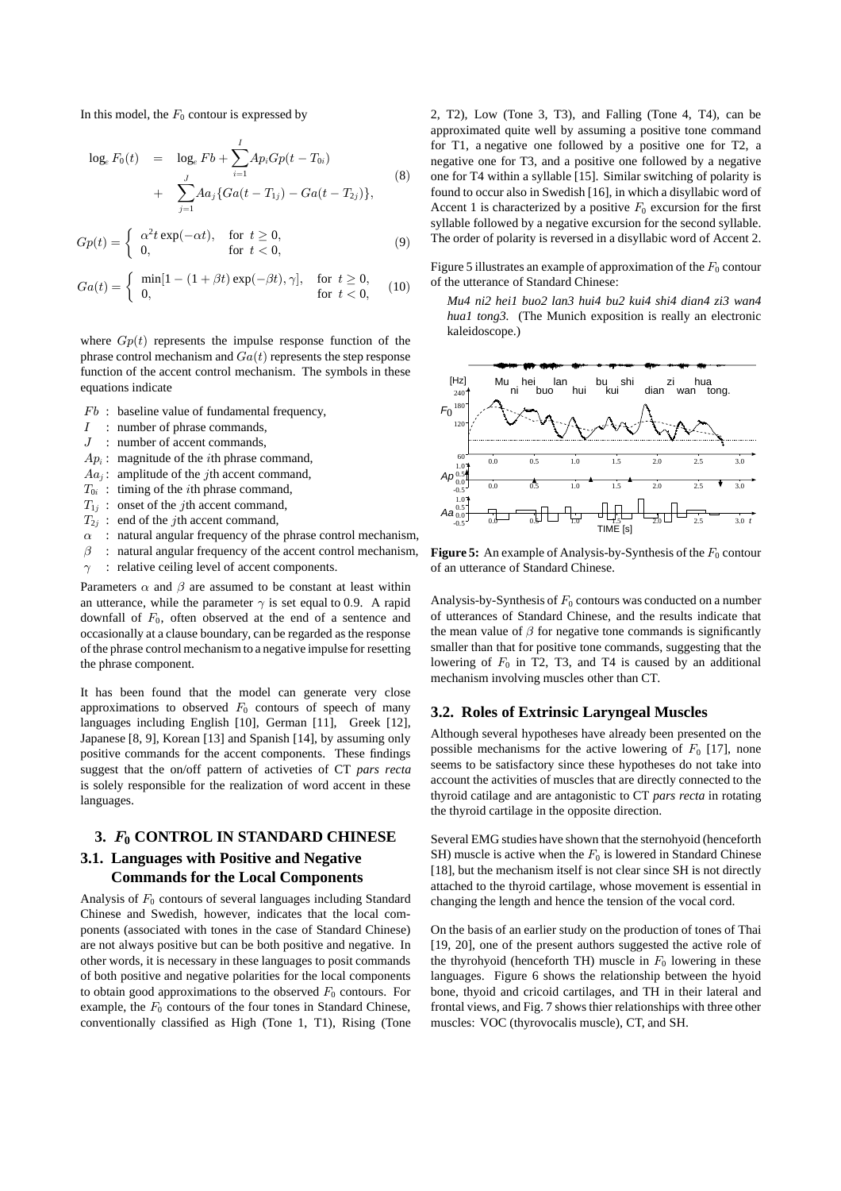In this model, the  $F_0$  contour is expressed by

$$
\log_e F_0(t) = \log_e Fb + \sum_{i=1}^{I} Ap_i Gp(t - T_{0i}) + \sum_{j=1}^{J} Aa_j \{Ga(t - T_{1j}) - Ga(t - T_{2j})\},
$$
\n(8)

$$
Gp(t) = \begin{cases} \alpha^2 t \exp(-\alpha t), & \text{for } t \ge 0, \\ 0, & \text{for } t < 0, \end{cases}
$$
 (9)

$$
Ga(t) = \begin{cases} \min[1 - (1 + \beta t) \exp(-\beta t), \gamma], & \text{for } t \ge 0, \\ 0, & \text{for } t < 0, \end{cases}
$$
 (10)

where  $Gp(t)$  represents the impulse response function of the phrase control mechanism and  $Ga(t)$  represents the step response function of the accent control mechanism. The symbols in these equations indicate

- $Fb$ : baseline value of fundamental frequency,
- $I$ : number of phrase commands,
- $J$ : number of accent commands,
- $Ap<sub>i</sub>$ : magnitude of the *i*th phrase command,
- $Aa_i$ : amplitude of the *j*th accent command,
- $T_{0i}$ : timing of the *i*th phrase command,
- $T_{1j}$  : onset of the *j*th accent command,
- $T_{2i}$  : end of the *j*th accent command,
- $\alpha$ : natural angular frequency of the phrase control mechanism,
- $\beta$ : natural angular frequency of the accent control mechanism,
- $\gamma$ : relative ceiling level of accent components.

Parameters  $\alpha$  and  $\beta$  are assumed to be constant at least within an utterance, while the parameter  $\gamma$  is set equal to 0.9. A rapid downfall of  $F_0$ , often observed at the end of a sentence and occasionally at a clause boundary, can be regarded as the response of the phrase control mechanism to a negative impulse for resetting the phrase component.

It has been found that the model can generate very close approximations to observed  $F_0$  contours of speech of many languages including English [10], German [11], Greek [12], Japanese [8, 9], Korean [13] and Spanish [14], by assuming only positive commands for the accent components. These findings suggest that the on/off pattern of activeties of CT *pars recta* is solely responsible for the realization of word accent in these languages.

# **3.** F**<sup>0</sup> CONTROL IN STANDARD CHINESE 3.1. Languages with Positive and Negative Commands for the Local Components**

Analysis of  $F_0$  contours of several languages including Standard Chinese and Swedish, however, indicates that the local components (associated with tones in the case of Standard Chinese) are not always positive but can be both positive and negative. In other words, it is necessary in these languages to posit commands of both positive and negative polarities for the local components to obtain good approximations to the observed  $F_0$  contours. For example, the  $F_0$  contours of the four tones in Standard Chinese, conventionally classified as High (Tone 1, T1), Rising (Tone 2, T2), Low (Tone 3, T3), and Falling (Tone 4, T4), can be approximated quite well by assuming a positive tone command for T1, a negative one followed by a positive one for T2, a negative one for T3, and a positive one followed by a negative one for T4 within a syllable [15]. Similar switching of polarity is found to occur also in Swedish [16], in which a disyllabic word of Accent 1 is characterized by a positive  $F_0$  excursion for the first syllable followed by a negative excursion for the second syllable. The order of polarity is reversed in a disyllabic word of Accent 2.

Figure 5 illustrates an example of approximation of the  $F_0$  contour of the utterance of Standard Chinese:

*Mu4 ni2 hei1 buo2 lan3 hui4 bu2 kui4 shi4 dian4 zi3 wan4 hua1 tong3.* (The Munich exposition is really an electronic kaleidoscope.)



**Figure 5:** An example of Analysis-by-Synthesis of the  $F_0$  contour of an utterance of Standard Chinese.

Analysis-by-Synthesis of  $F_0$  contours was conducted on a number of utterances of Standard Chinese, and the results indicate that the mean value of  $\beta$  for negative tone commands is significantly smaller than that for positive tone commands, suggesting that the lowering of  $F_0$  in T2, T3, and T4 is caused by an additional mechanism involving muscles other than CT.

## **3.2. Roles of Extrinsic Laryngeal Muscles**

Although several hypotheses have already been presented on the possible mechanisms for the active lowering of  $F_0$  [17], none seems to be satisfactory since these hypotheses do not take into account the activities of muscles that are directly connected to the thyroid catilage and are antagonistic to CT *pars recta* in rotating the thyroid cartilage in the opposite direction.

Several EMG studies have shown that the sternohyoid (henceforth SH) muscle is active when the  $F_0$  is lowered in Standard Chinese [18], but the mechanism itself is not clear since SH is not directly attached to the thyroid cartilage, whose movement is essential in changing the length and hence the tension of the vocal cord.

On the basis of an earlier study on the production of tones of Thai [19, 20], one of the present authors suggested the active role of the thyrohyoid (henceforth TH) muscle in  $F_0$  lowering in these languages. Figure 6 shows the relationship between the hyoid bone, thyoid and cricoid cartilages, and TH in their lateral and frontal views, and Fig. 7 shows thier relationships with three other muscles: VOC (thyrovocalis muscle), CT, and SH.